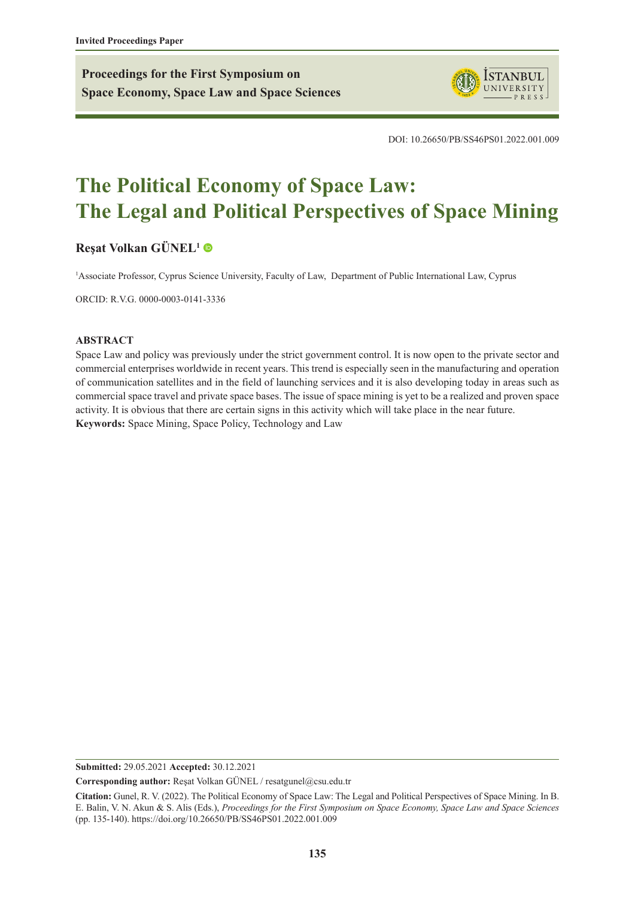**Proceedings for the First Symposium on Space Economy, Space Law and Space Sciences**



DOI: 10.26650/PB/SS46PS01.2022.001.009

# **The Political Economy of Space Law: The Legal and Political Perspectives of Space Mining**

# **[Reşat Volkan GÜNEL](https://orcid.org/0000-0003-0141-3336)<sup>1</sup>**

1 Associate Professor, Cyprus Science University, Faculty of Law, Department of Public International Law, Cyprus

ORCID: R.V.G. 0000-0003-0141-3336

#### **ABSTRACT**

Space Law and policy was previously under the strict government control. It is now open to the private sector and commercial enterprises worldwide in recent years. This trend is especially seen in the manufacturing and operation of communication satellites and in the field of launching services and it is also developing today in areas such as commercial space travel and private space bases. The issue of space mining is yet to be a realized and proven space activity. It is obvious that there are certain signs in this activity which will take place in the near future. **Keywords:** Space Mining, Space Policy, Technology and Law

**Submitted:** 29.05.2021 **Accepted:** 30.12.2021

**Corresponding author:** Reşat Volkan GÜNEL / resatgunel@csu.edu.tr

**Citation:** Gunel, R. V. (2022). The Political Economy of Space Law: The Legal and Political Perspectives of Space Mining. In B. E. Balin, V. N. Akun & S. Alis (Eds.), *Proceedings for the First Symposium on Space Economy, Space Law and Space Sciences* (pp. 135-140). https://doi.org/10.26650/PB/SS46PS01.2022.001.009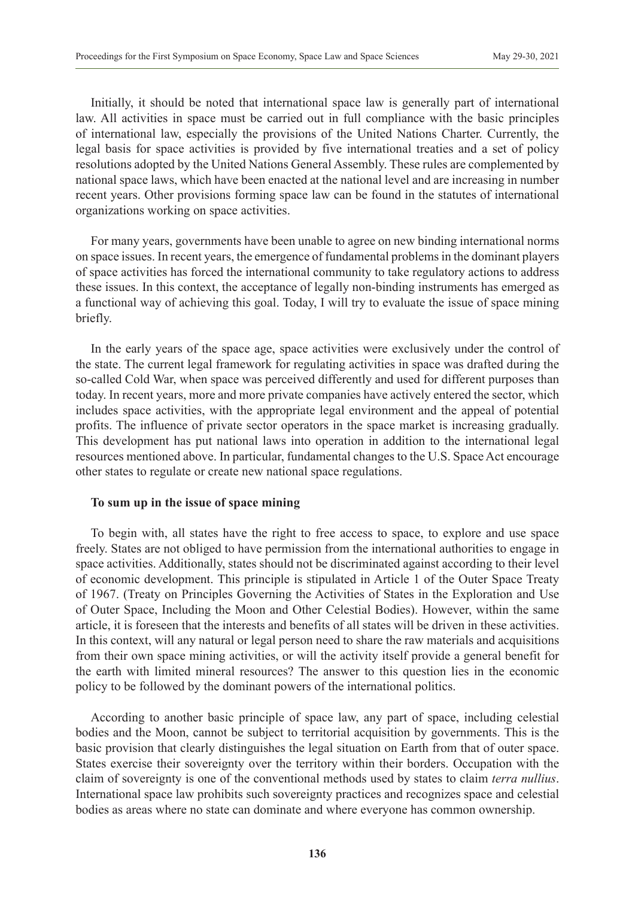Initially, it should be noted that international space law is generally part of international law. All activities in space must be carried out in full compliance with the basic principles of international law, especially the provisions of the United Nations Charter. Currently, the legal basis for space activities is provided by five international treaties and a set of policy resolutions adopted by the United Nations General Assembly. These rules are complemented by national space laws, which have been enacted at the national level and are increasing in number recent years. Other provisions forming space law can be found in the statutes of international organizations working on space activities.

For many years, governments have been unable to agree on new binding international norms on space issues. In recent years, the emergence of fundamental problems in the dominant players of space activities has forced the international community to take regulatory actions to address these issues. In this context, the acceptance of legally non-binding instruments has emerged as a functional way of achieving this goal. Today, I will try to evaluate the issue of space mining briefly.

In the early years of the space age, space activities were exclusively under the control of the state. The current legal framework for regulating activities in space was drafted during the so-called Cold War, when space was perceived differently and used for different purposes than today. In recent years, more and more private companies have actively entered the sector, which includes space activities, with the appropriate legal environment and the appeal of potential profits. The influence of private sector operators in the space market is increasing gradually. This development has put national laws into operation in addition to the international legal resources mentioned above. In particular, fundamental changes to the U.S. Space Act encourage other states to regulate or create new national space regulations.

### **To sum up in the issue of space mining**

To begin with, all states have the right to free access to space, to explore and use space freely. States are not obliged to have permission from the international authorities to engage in space activities. Additionally, states should not be discriminated against according to their level of economic development. This principle is stipulated in Article 1 of the Outer Space Treaty of 1967. (Treaty on Principles Governing the Activities of States in the Exploration and Use of Outer Space, Including the Moon and Other Celestial Bodies). However, within the same article, it is foreseen that the interests and benefits of all states will be driven in these activities. In this context, will any natural or legal person need to share the raw materials and acquisitions from their own space mining activities, or will the activity itself provide a general benefit for the earth with limited mineral resources? The answer to this question lies in the economic policy to be followed by the dominant powers of the international politics.

According to another basic principle of space law, any part of space, including celestial bodies and the Moon, cannot be subject to territorial acquisition by governments. This is the basic provision that clearly distinguishes the legal situation on Earth from that of outer space. States exercise their sovereignty over the territory within their borders. Occupation with the claim of sovereignty is one of the conventional methods used by states to claim *terra nullius*. International space law prohibits such sovereignty practices and recognizes space and celestial bodies as areas where no state can dominate and where everyone has common ownership.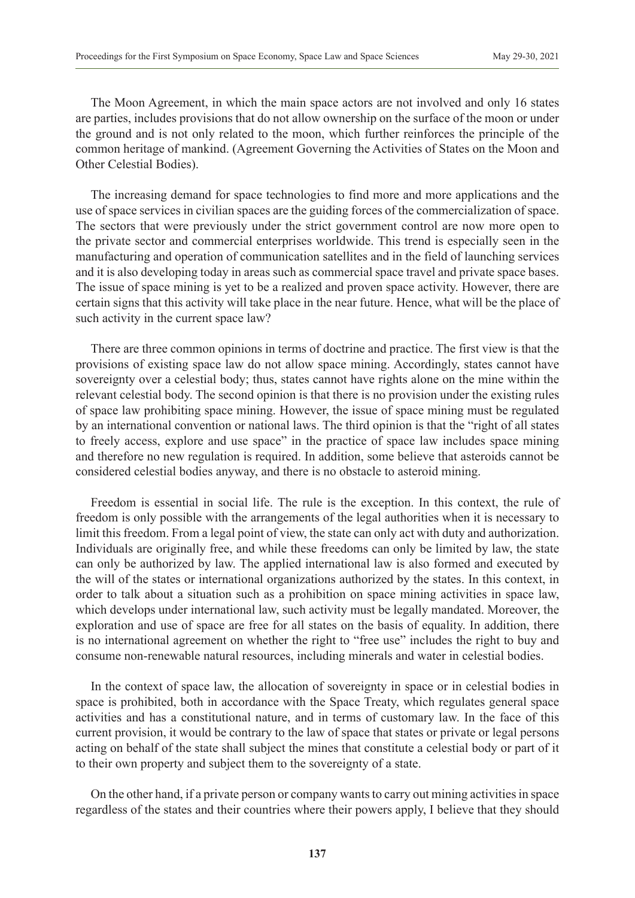The Moon Agreement, in which the main space actors are not involved and only 16 states are parties, includes provisions that do not allow ownership on the surface of the moon or under the ground and is not only related to the moon, which further reinforces the principle of the common heritage of mankind. (Agreement Governing the Activities of States on the Moon and Other Celestial Bodies).

The increasing demand for space technologies to find more and more applications and the use of space services in civilian spaces are the guiding forces of the commercialization of space. The sectors that were previously under the strict government control are now more open to the private sector and commercial enterprises worldwide. This trend is especially seen in the manufacturing and operation of communication satellites and in the field of launching services and it is also developing today in areas such as commercial space travel and private space bases. The issue of space mining is yet to be a realized and proven space activity. However, there are certain signs that this activity will take place in the near future. Hence, what will be the place of such activity in the current space law?

There are three common opinions in terms of doctrine and practice. The first view is that the provisions of existing space law do not allow space mining. Accordingly, states cannot have sovereignty over a celestial body; thus, states cannot have rights alone on the mine within the relevant celestial body. The second opinion is that there is no provision under the existing rules of space law prohibiting space mining. However, the issue of space mining must be regulated by an international convention or national laws. The third opinion is that the "right of all states to freely access, explore and use space" in the practice of space law includes space mining and therefore no new regulation is required. In addition, some believe that asteroids cannot be considered celestial bodies anyway, and there is no obstacle to asteroid mining.

Freedom is essential in social life. The rule is the exception. In this context, the rule of freedom is only possible with the arrangements of the legal authorities when it is necessary to limit this freedom. From a legal point of view, the state can only act with duty and authorization. Individuals are originally free, and while these freedoms can only be limited by law, the state can only be authorized by law. The applied international law is also formed and executed by the will of the states or international organizations authorized by the states. In this context, in order to talk about a situation such as a prohibition on space mining activities in space law, which develops under international law, such activity must be legally mandated. Moreover, the exploration and use of space are free for all states on the basis of equality. In addition, there is no international agreement on whether the right to "free use" includes the right to buy and consume non-renewable natural resources, including minerals and water in celestial bodies.

In the context of space law, the allocation of sovereignty in space or in celestial bodies in space is prohibited, both in accordance with the Space Treaty, which regulates general space activities and has a constitutional nature, and in terms of customary law. In the face of this current provision, it would be contrary to the law of space that states or private or legal persons acting on behalf of the state shall subject the mines that constitute a celestial body or part of it to their own property and subject them to the sovereignty of a state.

On the other hand, if a private person or company wants to carry out mining activities in space regardless of the states and their countries where their powers apply, I believe that they should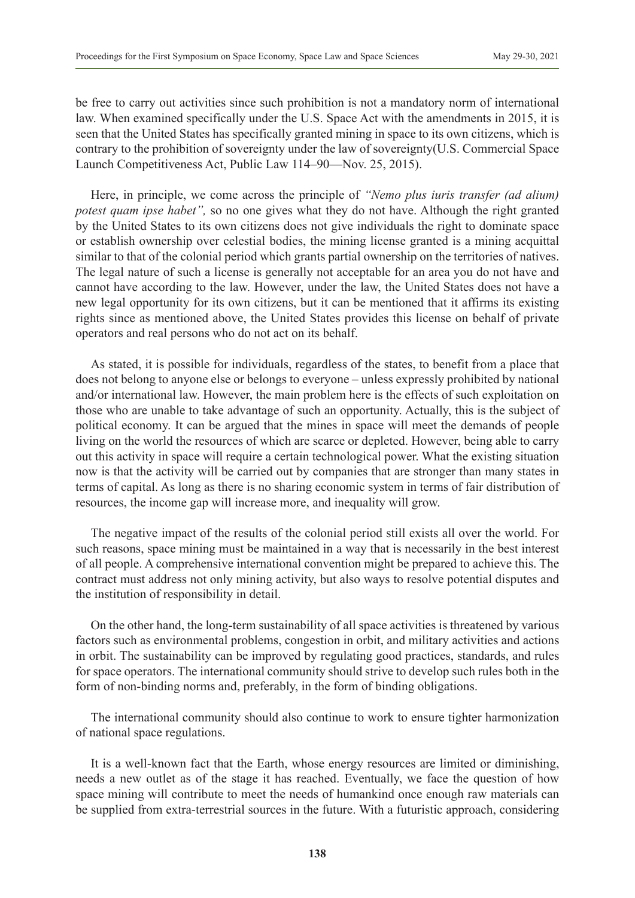be free to carry out activities since such prohibition is not a mandatory norm of international law. When examined specifically under the U.S. Space Act with the amendments in 2015, it is seen that the United States has specifically granted mining in space to its own citizens, which is contrary to the prohibition of sovereignty under the law of sovereignty(U.S. Commercial Space Launch Competitiveness Act, Public Law 114–90—Nov. 25, 2015).

Here, in principle, we come across the principle of *"Nemo plus iuris transfer (ad alium) potest quam ipse habet"*, so no one gives what they do not have. Although the right granted by the United States to its own citizens does not give individuals the right to dominate space or establish ownership over celestial bodies, the mining license granted is a mining acquittal similar to that of the colonial period which grants partial ownership on the territories of natives. The legal nature of such a license is generally not acceptable for an area you do not have and cannot have according to the law. However, under the law, the United States does not have a new legal opportunity for its own citizens, but it can be mentioned that it affirms its existing rights since as mentioned above, the United States provides this license on behalf of private operators and real persons who do not act on its behalf.

As stated, it is possible for individuals, regardless of the states, to benefit from a place that does not belong to anyone else or belongs to everyone – unless expressly prohibited by national and/or international law. However, the main problem here is the effects of such exploitation on those who are unable to take advantage of such an opportunity. Actually, this is the subject of political economy. It can be argued that the mines in space will meet the demands of people living on the world the resources of which are scarce or depleted. However, being able to carry out this activity in space will require a certain technological power. What the existing situation now is that the activity will be carried out by companies that are stronger than many states in terms of capital. As long as there is no sharing economic system in terms of fair distribution of resources, the income gap will increase more, and inequality will grow.

The negative impact of the results of the colonial period still exists all over the world. For such reasons, space mining must be maintained in a way that is necessarily in the best interest of all people. A comprehensive international convention might be prepared to achieve this. The contract must address not only mining activity, but also ways to resolve potential disputes and the institution of responsibility in detail.

On the other hand, the long-term sustainability of all space activities is threatened by various factors such as environmental problems, congestion in orbit, and military activities and actions in orbit. The sustainability can be improved by regulating good practices, standards, and rules for space operators. The international community should strive to develop such rules both in the form of non-binding norms and, preferably, in the form of binding obligations.

The international community should also continue to work to ensure tighter harmonization of national space regulations.

It is a well-known fact that the Earth, whose energy resources are limited or diminishing, needs a new outlet as of the stage it has reached. Eventually, we face the question of how space mining will contribute to meet the needs of humankind once enough raw materials can be supplied from extra-terrestrial sources in the future. With a futuristic approach, considering